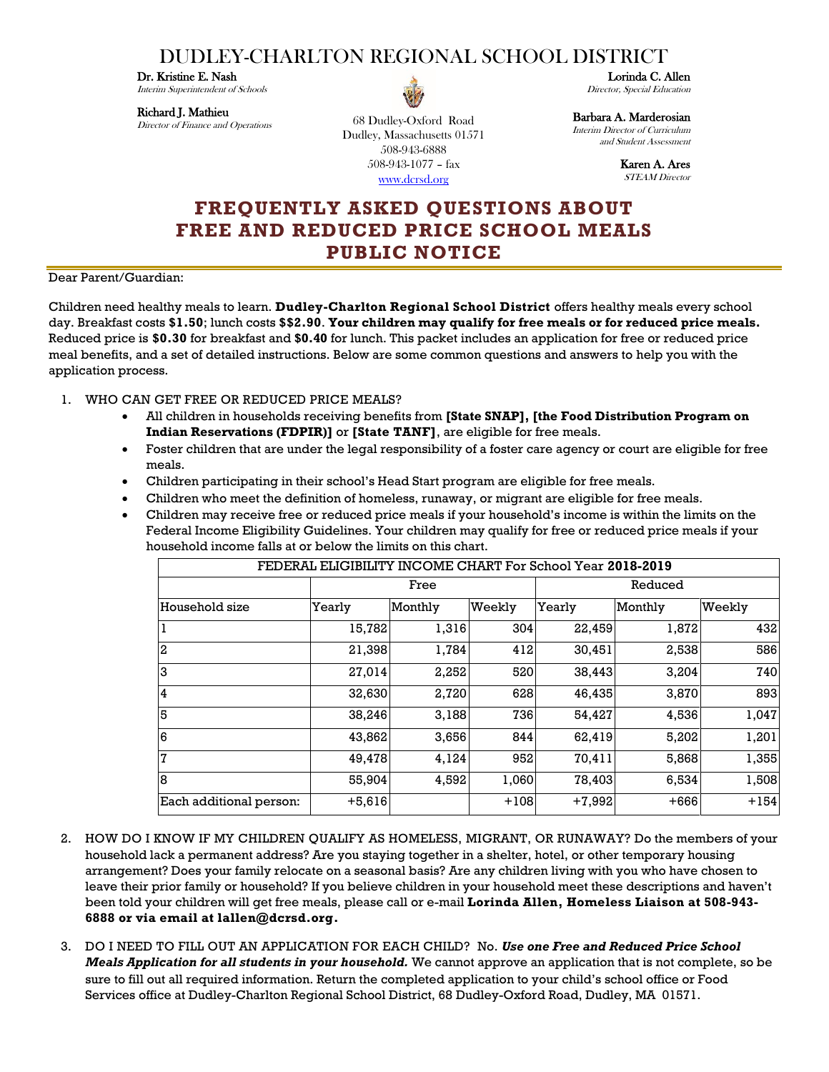## DUDLEY-CHARLTON REGIONAL SCHOOL DISTRICT

Dr. Kristine E. Nash

Interim Superintendent of Schools

## Richard J. Mathieu

Director of Finance and Operations

68 Dudley-Oxford Road Dudley, Massachusetts 01571 508-943-6888 508-943-1077 – fax [www.dcrsd.org](http://www.dcrsd.org/)

Lorinda C. Allen Director, Special Education

Barbara A. Marderosian

Interim Director of Curriculum and Student Assessment

> Karen A. Ares STEAM Director

## **FREQUENTLY ASKED QUESTIONS ABOUT FREE AND REDUCED PRICE SCHOOL MEALS PUBLIC NOTICE**

Dear Parent/Guardian:

Children need healthy meals to learn. **Dudley-Charlton Regional School District** offers healthy meals every school day. Breakfast costs **\$1.50**; lunch costs **\$\$2.90**. **Your children may qualify for free meals or for reduced price meals.** Reduced price is **\$0.30** for breakfast and **\$0.40** for lunch. This packet includes an application for free or reduced price meal benefits, and a set of detailed instructions. Below are some common questions and answers to help you with the application process.

- 1. WHO CAN GET FREE OR REDUCED PRICE MEALS?
	- All children in households receiving benefits from **[State SNAP], [the Food Distribution Program on Indian Reservations (FDPIR)]** or **[State TANF]**, are eligible for free meals.
	- Foster children that are under the legal responsibility of a foster care agency or court are eligible for free meals.
	- Children participating in their school's Head Start program are eligible for free meals.
	- Children who meet the definition of homeless, runaway, or migrant are eligible for free meals.
	- Children may receive free or reduced price meals if your household's income is within the limits on the Federal Income Eligibility Guidelines. Your children may qualify for free or reduced price meals if your household income falls at or below the limits on this chart.

| FEDERAL ELIGIBILITY INCOME CHART For School Year 2018-2019 |          |         |        |          |         |        |
|------------------------------------------------------------|----------|---------|--------|----------|---------|--------|
|                                                            | Free     |         |        | Reduced  |         |        |
| Household size                                             | Yearly   | Monthly | Weekly | Yearly   | Monthly | Weekly |
| 1                                                          | 15,782   | 1,316   | 304    | 22,459   | 1,872   | 432    |
| $\boldsymbol{2}$                                           | 21,398   | 1,784   | 412    | 30,451   | 2,538   | 586    |
| IЗ                                                         | 27,014   | 2,252   | 520    | 38,443   | 3,204   | 740    |
| $\overline{4}$                                             | 32,630   | 2,720   | 628    | 46,435   | 3,870   | 893    |
| 5                                                          | 38,246   | 3,188   | 736    | 54,427   | 4,536   | 1,047  |
| 6                                                          | 43,862   | 3,656   | 844    | 62,419   | 5,202   | 1,201  |
| 7                                                          | 49,478   | 4,124   | 952    | 70,411   | 5,868   | 1,355  |
| 8                                                          | 55,904   | 4,592   | 1,060  | 78,403   | 6,534   | 1,508  |
| Each additional person:                                    | $+5,616$ |         | $+108$ | $+7,992$ | $+666$  | $+154$ |

- 2. HOW DO I KNOW IF MY CHILDREN QUALIFY AS HOMELESS, MIGRANT, OR RUNAWAY? Do the members of your household lack a permanent address? Are you staying together in a shelter, hotel, or other temporary housing arrangement? Does your family relocate on a seasonal basis? Are any children living with you who have chosen to leave their prior family or household? If you believe children in your household meet these descriptions and haven't been told your children will get free meals, please call or e-mail **Lorinda Allen, Homeless Liaison at 508-943- 6888 or via email at lallen@dcrsd.org.**
- 3. DO I NEED TO FILL OUT AN APPLICATION FOR EACH CHILD? No. *Use one Free and Reduced Price School Meals Application for all students in your household.* We cannot approve an application that is not complete, so be sure to fill out all required information. Return the completed application to your child's school office or Food Services office at Dudley-Charlton Regional School District, 68 Dudley-Oxford Road, Dudley, MA 01571.